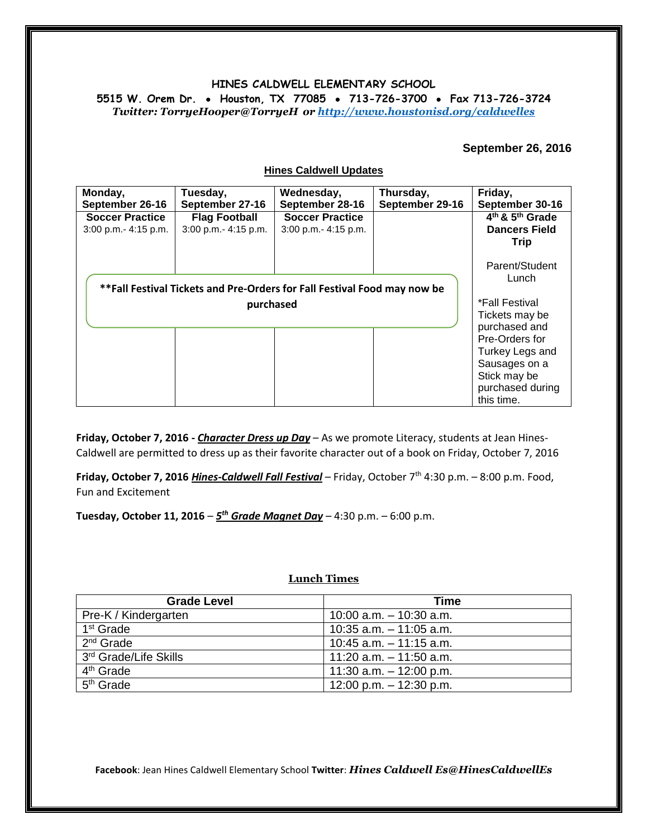# **HINES CALDWELL ELEMENTARY SCHOOL**

**5515 W. Orem Dr. Houston, TX 77085 713-726-3700 Fax 713-726-3724** *Twitter: TorryeHooper@TorryeH or<http://www.houstonisd.org/caldwelles>*

### **September 26, 2016**

| Monday,<br>September 26-16                                               | Tuesday,<br>September 27-16                  | Wednesday,<br>September 28-16                  | Thursday,<br>September 29-16 | Friday,<br>September 30-16                                                                            |
|--------------------------------------------------------------------------|----------------------------------------------|------------------------------------------------|------------------------------|-------------------------------------------------------------------------------------------------------|
| <b>Soccer Practice</b><br>3:00 p.m.- 4:15 p.m.                           | <b>Flag Football</b><br>3:00 p.m.- 4:15 p.m. | <b>Soccer Practice</b><br>3:00 p.m.- 4:15 p.m. |                              | 4 <sup>th</sup> & 5 <sup>th</sup> Grade<br><b>Dancers Field</b><br><b>Trip</b>                        |
| **Fall Festival Tickets and Pre-Orders for Fall Festival Food may now be | Parent/Student<br>Lunch<br>*Fall Festival    |                                                |                              |                                                                                                       |
|                                                                          | purchased                                    |                                                |                              | Tickets may be<br>purchased and<br>Pre-Orders for<br>Turkey Legs and<br>Sausages on a<br>Stick may be |
|                                                                          |                                              |                                                |                              | purchased during<br>this time.                                                                        |

**Hines Caldwell Updates**

**Friday, October 7, 2016 -** *Character Dress up Day* – As we promote Literacy, students at Jean Hines-Caldwell are permitted to dress up as their favorite character out of a book on Friday, October 7, 2016

**Friday, October 7, 2016** *Hines-Caldwell Fall Festival* – Friday, October 7th 4:30 p.m. – 8:00 p.m. Food, Fun and Excitement

**Tuesday, October 11, 2016** – *5 th Grade Magnet Day* – 4:30 p.m. – 6:00 p.m.

#### **Lunch Times**

| <b>Grade Level</b>                | Time                       |  |
|-----------------------------------|----------------------------|--|
| Pre-K / Kindergarten              | $10:00$ a.m. $-10:30$ a.m. |  |
| 1 <sup>st</sup> Grade             | $10:35$ a.m. $-11:05$ a.m. |  |
| $2nd$ Grade                       | $10:45$ a.m. $-11:15$ a.m. |  |
| 3 <sup>rd</sup> Grade/Life Skills | 11:20 a.m. $-$ 11:50 a.m.  |  |
| 4 <sup>th</sup> Grade             | 11:30 a.m. $-$ 12:00 p.m.  |  |
| $5th$ Grade                       | 12:00 p.m. $-$ 12:30 p.m.  |  |

**Facebook**: Jean Hines Caldwell Elementary School **Twitter**: *Hines Caldwell Es@HinesCaldwellEs*